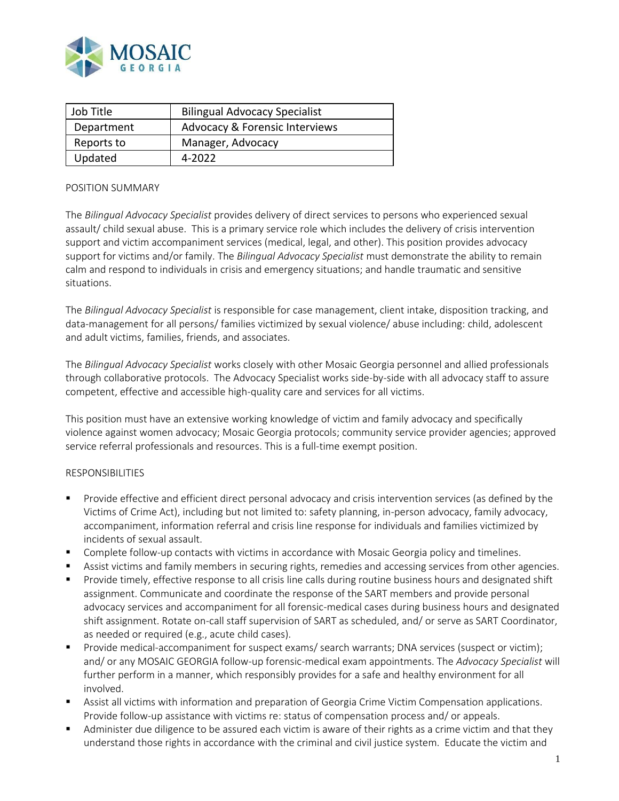

| Job Title  | <b>Bilingual Advocacy Specialist</b>      |
|------------|-------------------------------------------|
| Department | <b>Advocacy &amp; Forensic Interviews</b> |
| Reports to | Manager, Advocacy                         |
| Updated    | 4-2022                                    |

## POSITION SUMMARY

The *Bilingual Advocacy Specialist* provides delivery of direct services to persons who experienced sexual assault/ child sexual abuse. This is a primary service role which includes the delivery of crisis intervention support and victim accompaniment services (medical, legal, and other). This position provides advocacy support for victims and/or family. The *Bilingual Advocacy Specialist* must demonstrate the ability to remain calm and respond to individuals in crisis and emergency situations; and handle traumatic and sensitive situations.

The *Bilingual Advocacy Specialist* is responsible for case management, client intake, disposition tracking, and data-management for all persons/ families victimized by sexual violence/ abuse including: child, adolescent and adult victims, families, friends, and associates.

The *Bilingual Advocacy Specialist* works closely with other Mosaic Georgia personnel and allied professionals through collaborative protocols. The Advocacy Specialist works side-by-side with all advocacy staff to assure competent, effective and accessible high-quality care and services for all victims.

This position must have an extensive working knowledge of victim and family advocacy and specifically violence against women advocacy; Mosaic Georgia protocols; community service provider agencies; approved service referral professionals and resources. This is a full-time exempt position.

## RESPONSIBILITIES

- Provide effective and efficient direct personal advocacy and crisis intervention services (as defined by the Victims of Crime Act), including but not limited to: safety planning, in-person advocacy, family advocacy, accompaniment, information referral and crisis line response for individuals and families victimized by incidents of sexual assault.
- Complete follow-up contacts with victims in accordance with Mosaic Georgia policy and timelines.
- Assist victims and family members in securing rights, remedies and accessing services from other agencies.
- Provide timely, effective response to all crisis line calls during routine business hours and designated shift assignment. Communicate and coordinate the response of the SART members and provide personal advocacy services and accompaniment for all forensic-medical cases during business hours and designated shift assignment. Rotate on-call staff supervision of SART as scheduled, and/ or serve as SART Coordinator, as needed or required (e.g., acute child cases).
- Provide medical-accompaniment for suspect exams/ search warrants; DNA services (suspect or victim); and/ or any MOSAIC GEORGIA follow-up forensic-medical exam appointments. The *Advocacy Specialist* will further perform in a manner, which responsibly provides for a safe and healthy environment for all involved.
- Assist all victims with information and preparation of Georgia Crime Victim Compensation applications. Provide follow-up assistance with victims re: status of compensation process and/ or appeals.
- Administer due diligence to be assured each victim is aware of their rights as a crime victim and that they understand those rights in accordance with the criminal and civil justice system. Educate the victim and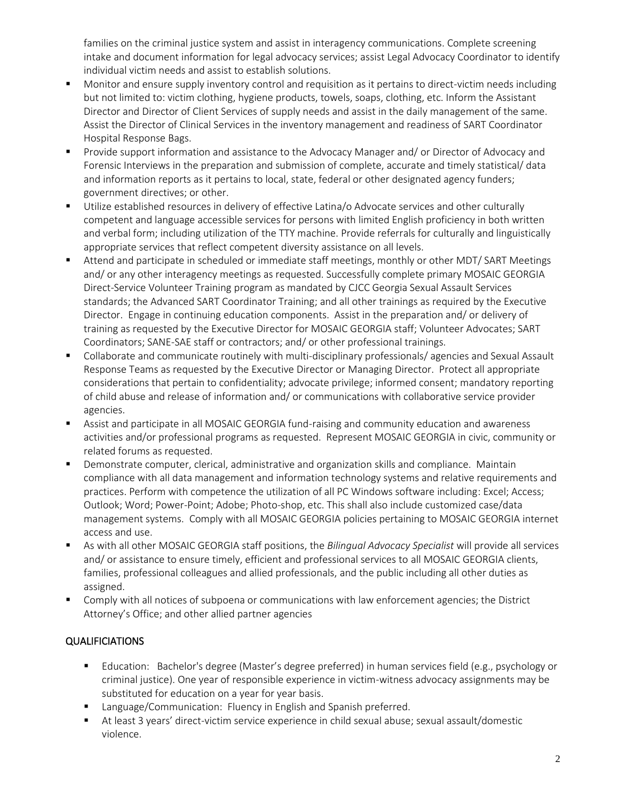families on the criminal justice system and assist in interagency communications. Complete screening intake and document information for legal advocacy services; assist Legal Advocacy Coordinator to identify individual victim needs and assist to establish solutions.

- Monitor and ensure supply inventory control and requisition as it pertains to direct-victim needs including but not limited to: victim clothing, hygiene products, towels, soaps, clothing, etc. Inform the Assistant Director and Director of Client Services of supply needs and assist in the daily management of the same. Assist the Director of Clinical Services in the inventory management and readiness of SART Coordinator Hospital Response Bags.
- Provide support information and assistance to the Advocacy Manager and/ or Director of Advocacy and Forensic Interviews in the preparation and submission of complete, accurate and timely statistical/ data and information reports as it pertains to local, state, federal or other designated agency funders; government directives; or other.
- Utilize established resources in delivery of effective Latina/o Advocate services and other culturally competent and language accessible services for persons with limited English proficiency in both written and verbal form; including utilization of the TTY machine. Provide referrals for culturally and linguistically appropriate services that reflect competent diversity assistance on all levels.
- Attend and participate in scheduled or immediate staff meetings, monthly or other MDT/ SART Meetings and/ or any other interagency meetings as requested. Successfully complete primary MOSAIC GEORGIA Direct-Service Volunteer Training program as mandated by CJCC Georgia Sexual Assault Services standards; the Advanced SART Coordinator Training; and all other trainings as required by the Executive Director. Engage in continuing education components. Assist in the preparation and/ or delivery of training as requested by the Executive Director for MOSAIC GEORGIA staff; Volunteer Advocates; SART Coordinators; SANE-SAE staff or contractors; and/ or other professional trainings.
- Collaborate and communicate routinely with multi-disciplinary professionals/ agencies and Sexual Assault Response Teams as requested by the Executive Director or Managing Director. Protect all appropriate considerations that pertain to confidentiality; advocate privilege; informed consent; mandatory reporting of child abuse and release of information and/ or communications with collaborative service provider agencies.
- Assist and participate in all MOSAIC GEORGIA fund-raising and community education and awareness activities and/or professional programs as requested. Represent MOSAIC GEORGIA in civic, community or related forums as requested.
- **•** Demonstrate computer, clerical, administrative and organization skills and compliance. Maintain compliance with all data management and information technology systems and relative requirements and practices. Perform with competence the utilization of all PC Windows software including: Excel; Access; Outlook; Word; Power-Point; Adobe; Photo-shop, etc. This shall also include customized case/data management systems. Comply with all MOSAIC GEORGIA policies pertaining to MOSAIC GEORGIA internet access and use.
- As with all other MOSAIC GEORGIA staff positions, the *Bilingual Advocacy Specialist* will provide all services and/ or assistance to ensure timely, efficient and professional services to all MOSAIC GEORGIA clients, families, professional colleagues and allied professionals, and the public including all other duties as assigned.
- Comply with all notices of subpoena or communications with law enforcement agencies; the District Attorney's Office; and other allied partner agencies

## QUALIFICIATIONS

- Education: Bachelor's degree (Master's degree preferred) in human services field (e.g., psychology or criminal justice). One year of responsible experience in victim-witness advocacy assignments may be substituted for education on a year for year basis.
- Language/Communication: Fluency in English and Spanish preferred.
- At least 3 years' direct-victim service experience in child sexual abuse; sexual assault/domestic violence.